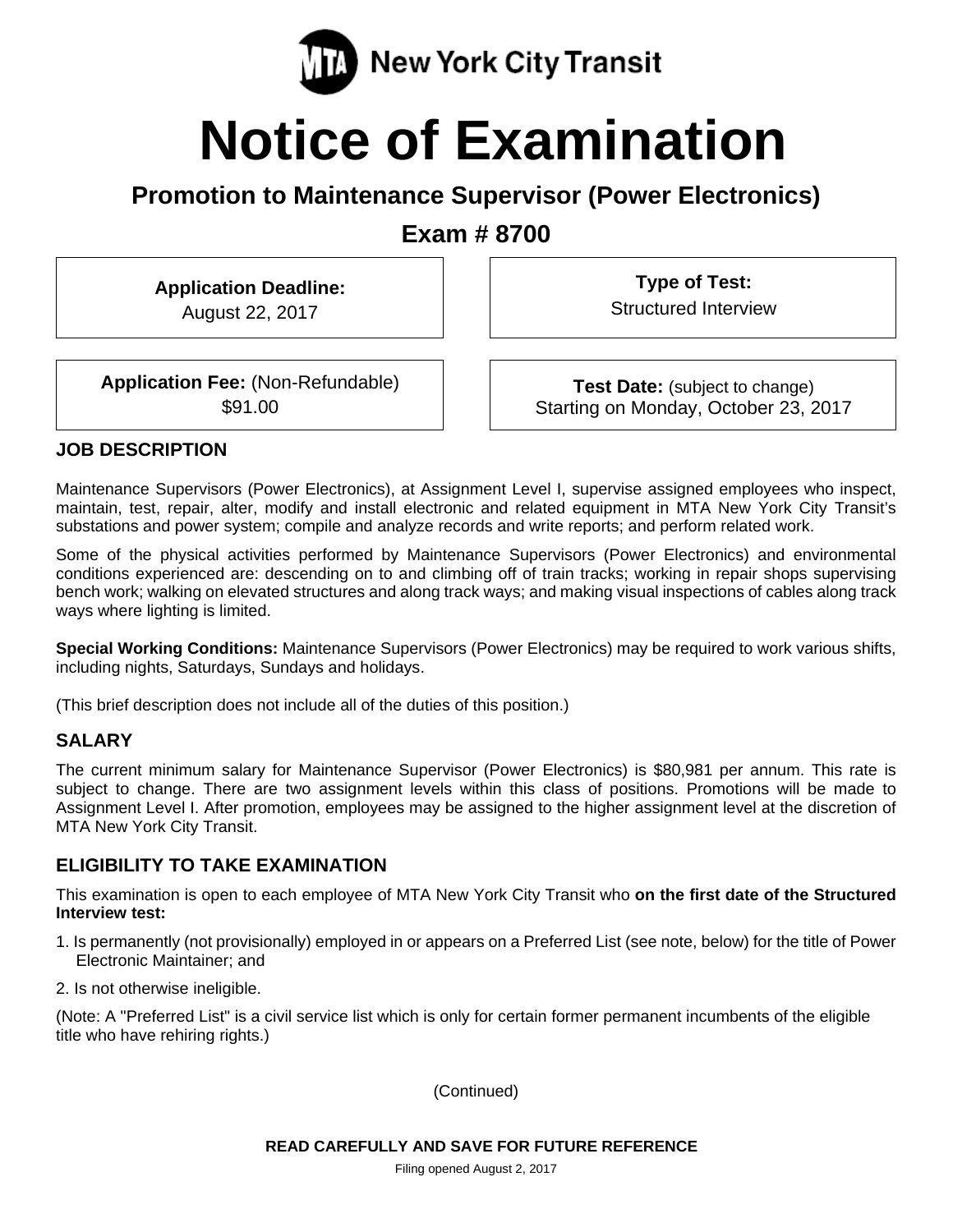

# **Notice of Examination**

## **Promotion to Maintenance Supervisor (Power Electronics)**

**Exam # 8700** 

**Application Deadline:**  August 22, 2017

**Type of Test:**  Structured Interview

**Application Fee:** (Non-Refundable) \$91.00

**Test Date:** (subject to change) Starting on Monday, October 23, 2017

#### **JOB DESCRIPTION**

Maintenance Supervisors (Power Electronics), at Assignment Level I, supervise assigned employees who inspect, maintain, test, repair, alter, modify and install electronic and related equipment in MTA New York City Transit's substations and power system; compile and analyze records and write reports; and perform related work.

Some of the physical activities performed by Maintenance Supervisors (Power Electronics) and environmental conditions experienced are: descending on to and climbing off of train tracks; working in repair shops supervising bench work; walking on elevated structures and along track ways; and making visual inspections of cables along track ways where lighting is limited.

**Special Working Conditions:** Maintenance Supervisors (Power Electronics) may be required to work various shifts, including nights, Saturdays, Sundays and holidays.

(This brief description does not include all of the duties of this position.)

#### **SALARY**

The current minimum salary for Maintenance Supervisor (Power Electronics) is \$80,981 per annum. This rate is subject to change. There are two assignment levels within this class of positions. Promotions will be made to Assignment Level I. After promotion, employees may be assigned to the higher assignment level at the discretion of MTA New York City Transit.

#### **ELIGIBILITY TO TAKE EXAMINATION**

This examination is open to each employee of MTA New York City Transit who **on the first date of the Structured Interview test:** 

- 1. Is permanently (not provisionally) employed in or appears on a Preferred List (see note, below) for the title of Power Electronic Maintainer; and
- 2. Is not otherwise ineligible.

(Note: A "Preferred List" is a civil service list which is only for certain former permanent incumbents of the eligible title who have rehiring rights.)

(Continued)

**READ CAREFULLY AND SAVE FOR FUTURE REFERENCE**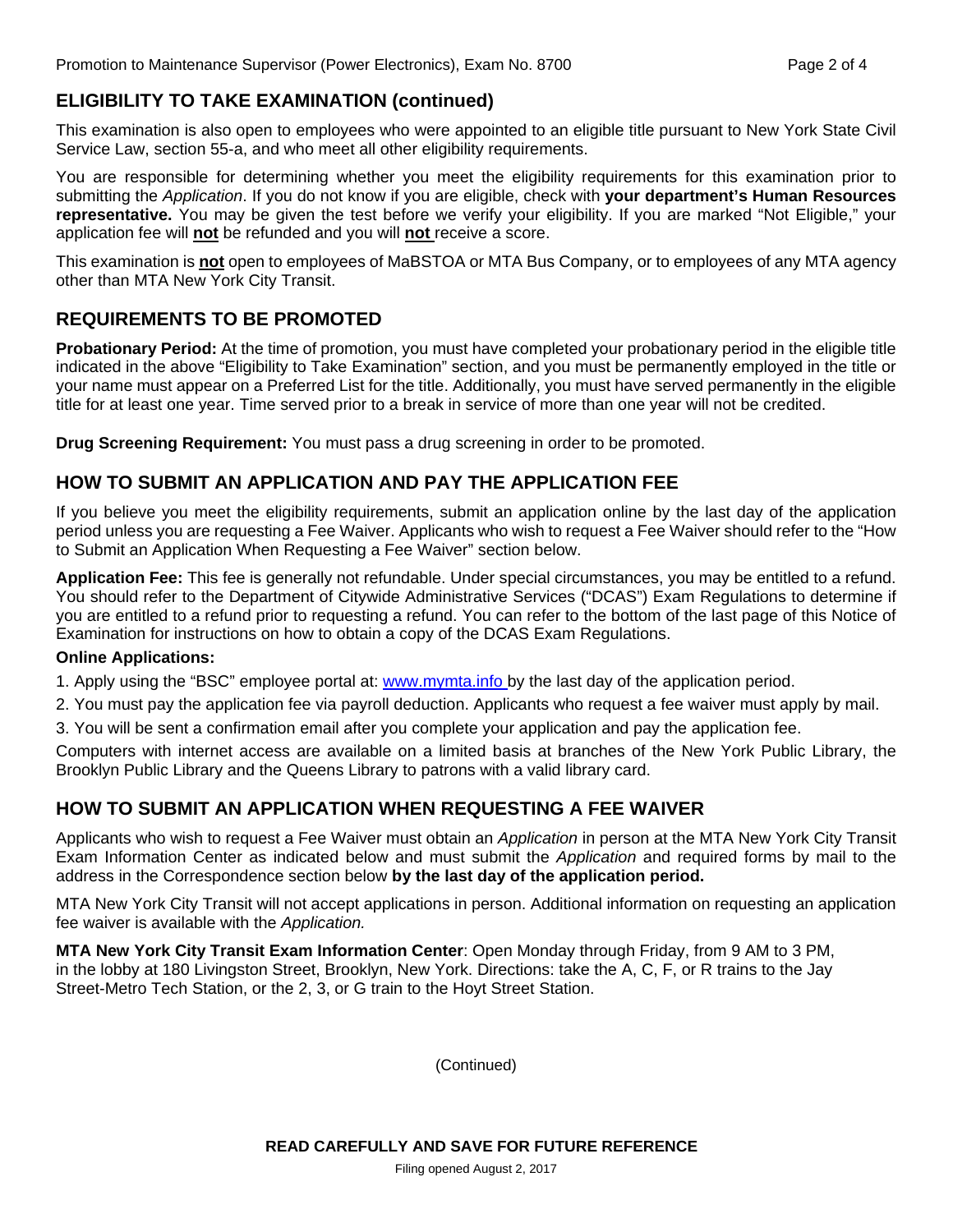### **ELIGIBILITY TO TAKE EXAMINATION (continued)**

This examination is also open to employees who were appointed to an eligible title pursuant to New York State Civil Service Law, section 55-a, and who meet all other eligibility requirements.

You are responsible for determining whether you meet the eligibility requirements for this examination prior to submitting the *Application*. If you do not know if you are eligible, check with **your department's Human Resources representative.** You may be given the test before we verify your eligibility. If you are marked "Not Eligible," your application fee will **not** be refunded and you will **not** receive a score.

This examination is **not** open to employees of MaBSTOA or MTA Bus Company, or to employees of any MTA agency other than MTA New York City Transit.

### **REQUIREMENTS TO BE PROMOTED**

**Probationary Period:** At the time of promotion, you must have completed your probationary period in the eligible title indicated in the above "Eligibility to Take Examination" section, and you must be permanently employed in the title or your name must appear on a Preferred List for the title. Additionally, you must have served permanently in the eligible title for at least one year. Time served prior to a break in service of more than one year will not be credited.

**Drug Screening Requirement:** You must pass a drug screening in order to be promoted.

### **HOW TO SUBMIT AN APPLICATION AND PAY THE APPLICATION FEE**

If you believe you meet the eligibility requirements, submit an application online by the last day of the application period unless you are requesting a Fee Waiver. Applicants who wish to request a Fee Waiver should refer to the "How to Submit an Application When Requesting a Fee Waiver" section below.

**Application Fee:** This fee is generally not refundable. Under special circumstances, you may be entitled to a refund. You should refer to the Department of Citywide Administrative Services ("DCAS") Exam Regulations to determine if you are entitled to a refund prior to requesting a refund. You can refer to the bottom of the last page of this Notice of Examination for instructions on how to obtain a copy of the DCAS Exam Regulations.

#### **Online Applications:**

1. Apply using the "BSC" employee portal at: www.mymta.info by the last day of the application period.

2. You must pay the application fee via payroll deduction. Applicants who request a fee waiver must apply by mail.

3. You will be sent a confirmation email after you complete your application and pay the application fee.

Computers with internet access are available on a limited basis at branches of the New York Public Library, the Brooklyn Public Library and the Queens Library to patrons with a valid library card.

### **HOW TO SUBMIT AN APPLICATION WHEN REQUESTING A FEE WAIVER**

Applicants who wish to request a Fee Waiver must obtain an *Application* in person at the MTA New York City Transit Exam Information Center as indicated below and must submit the *Application* and required forms by mail to the address in the Correspondence section below **by the last day of the application period.**

MTA New York City Transit will not accept applications in person. Additional information on requesting an application fee waiver is available with the *Application.* 

**MTA New York City Transit Exam Information Center**: Open Monday through Friday, from 9 AM to 3 PM, in the lobby at 180 Livingston Street, Brooklyn, New York. Directions: take the A, C, F, or R trains to the Jay Street-Metro Tech Station, or the 2, 3, or G train to the Hoyt Street Station.

(Continued)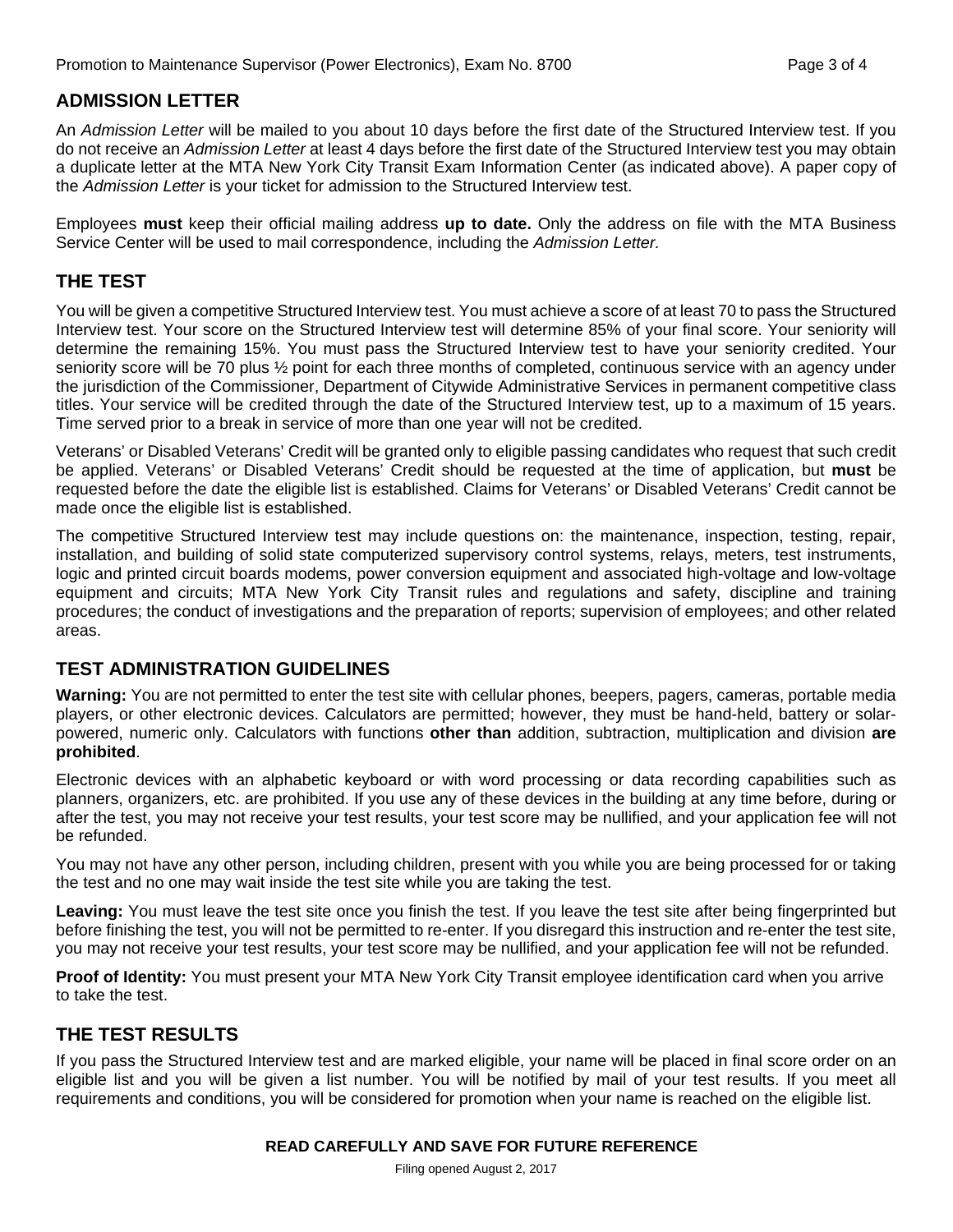## **ADMISSION LETTER**

An *Admission Letter* will be mailed to you about 10 days before the first date of the Structured Interview test. If you do not receive an *Admission Letter* at least 4 days before the first date of the Structured Interview test you may obtain a duplicate letter at the MTA New York City Transit Exam Information Center (as indicated above). A paper copy of the *Admission Letter* is your ticket for admission to the Structured Interview test.

Employees **must** keep their official mailing address **up to date.** Only the address on file with the MTA Business Service Center will be used to mail correspondence, including the *Admission Letter.*

## **THE TEST**

You will be given a competitive Structured Interview test. You must achieve a score of at least 70 to pass the Structured Interview test. Your score on the Structured Interview test will determine 85% of your final score. Your seniority will determine the remaining 15%. You must pass the Structured Interview test to have your seniority credited. Your seniority score will be 70 plus ½ point for each three months of completed, continuous service with an agency under the jurisdiction of the Commissioner, Department of Citywide Administrative Services in permanent competitive class titles. Your service will be credited through the date of the Structured Interview test, up to a maximum of 15 years. Time served prior to a break in service of more than one year will not be credited.

Veterans' or Disabled Veterans' Credit will be granted only to eligible passing candidates who request that such credit be applied. Veterans' or Disabled Veterans' Credit should be requested at the time of application, but **must** be requested before the date the eligible list is established. Claims for Veterans' or Disabled Veterans' Credit cannot be made once the eligible list is established.

The competitive Structured Interview test may include questions on: the maintenance, inspection, testing, repair, installation, and building of solid state computerized supervisory control systems, relays, meters, test instruments, logic and printed circuit boards modems, power conversion equipment and associated high-voltage and low-voltage equipment and circuits; MTA New York City Transit rules and regulations and safety, discipline and training procedures; the conduct of investigations and the preparation of reports; supervision of employees; and other related areas.

### **TEST ADMINISTRATION GUIDELINES**

**Warning:** You are not permitted to enter the test site with cellular phones, beepers, pagers, cameras, portable media players, or other electronic devices. Calculators are permitted; however, they must be hand-held, battery or solarpowered, numeric only. Calculators with functions **other than** addition, subtraction, multiplication and division **are prohibited**.

Electronic devices with an alphabetic keyboard or with word processing or data recording capabilities such as planners, organizers, etc. are prohibited. If you use any of these devices in the building at any time before, during or after the test, you may not receive your test results, your test score may be nullified, and your application fee will not be refunded.

You may not have any other person, including children, present with you while you are being processed for or taking the test and no one may wait inside the test site while you are taking the test.

**Leaving:** You must leave the test site once you finish the test. If you leave the test site after being fingerprinted but before finishing the test, you will not be permitted to re-enter. If you disregard this instruction and re-enter the test site, you may not receive your test results, your test score may be nullified, and your application fee will not be refunded.

**Proof of Identity:** You must present your MTA New York City Transit employee identification card when you arrive to take the test.

## **THE TEST RESULTS**

If you pass the Structured Interview test and are marked eligible, your name will be placed in final score order on an eligible list and you will be given a list number. You will be notified by mail of your test results. If you meet all requirements and conditions, you will be considered for promotion when your name is reached on the eligible list.

#### **READ CAREFULLY AND SAVE FOR FUTURE REFERENCE**